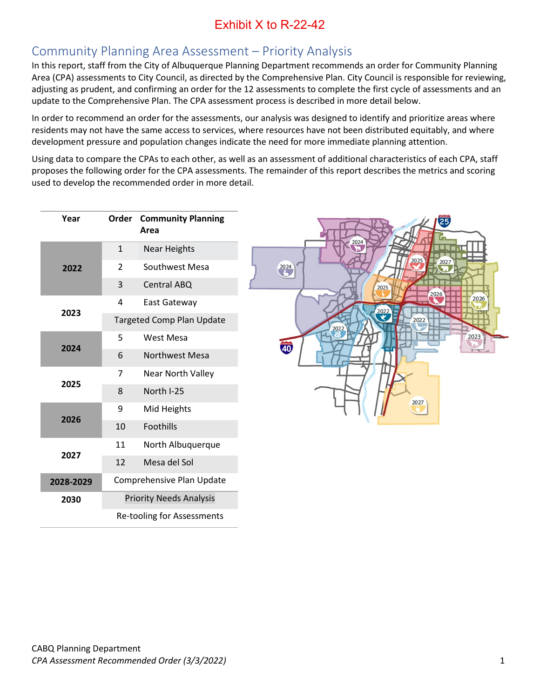## Community Planning Area Assessment – Priority Analysis

In this report, staff from the City of Albuquerque Planning Department recommends an order for Community Planning Area (CPA) assessments to City Council, as directed by the Comprehensive Plan. City Council is responsible for reviewing, adjusting as prudent, and confirming an order for the 12 assessments to complete the first cycle of assessments and an update to the Comprehensive Plan. The CPA assessment process is described in more detail below.

In order to recommend an order for the assessments, our analysis was designed to identify and prioritize areas where residents may not have the same access to services, where resources have not been distributed equitably, and where development pressure and population changes indicate the need for more immediate planning attention.

Using data to compare the CPAs to each other, as well as an assessment of additional characteristics of each CPA, staff proposes the following order for the CPA assessments. The remainder of this report describes the metrics and scoring used to develop the recommended order in more detail.

| Year      | Order                            | <b>Community Planning</b><br>Area |  |
|-----------|----------------------------------|-----------------------------------|--|
|           | $\mathbf{1}$                     | <b>Near Heights</b>               |  |
| 2022      | $\mathfrak{p}$                   | Southwest Mesa                    |  |
|           | 3                                | Central ABQ                       |  |
| 2023      | 4                                | <b>East Gateway</b>               |  |
|           | <b>Targeted Comp Plan Update</b> |                                   |  |
| 2024      | 5                                | West Mesa                         |  |
|           | 6                                | <b>Northwest Mesa</b>             |  |
|           | 7                                | <b>Near North Valley</b>          |  |
| 2025      | 8                                | North I-25                        |  |
|           | 9                                | Mid Heights                       |  |
| 2026      | 10                               | Foothills                         |  |
| 2027      | 11                               | North Albuquerque                 |  |
|           | 12                               | Mesa del Sol                      |  |
| 2028-2029 | Comprehensive Plan Update        |                                   |  |
| 2030      | <b>Priority Needs Analysis</b>   |                                   |  |
|           | Re-tooling for Assessments       |                                   |  |

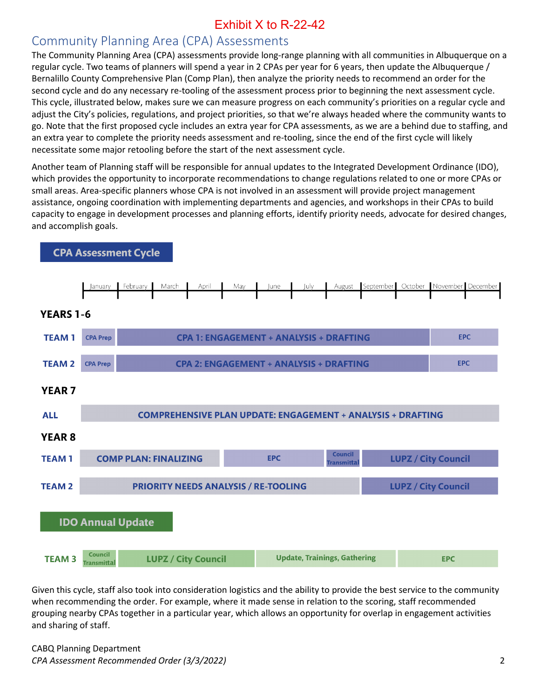### Community Planning Area (CPA) Assessments

The Community Planning Area (CPA) assessments provide long-range planning with all communities in Albuquerque on a regular cycle. Two teams of planners will spend a year in 2 CPAs per year for 6 years, then update the Albuquerque / Bernalillo County Comprehensive Plan (Comp Plan), then analyze the priority needs to recommend an order for the second cycle and do any necessary re-tooling of the assessment process prior to beginning the next assessment cycle. This cycle, illustrated below, makes sure we can measure progress on each community's priorities on a regular cycle and adjust the City's policies, regulations, and project priorities, so that we're always headed where the community wants to go. Note that the first proposed cycle includes an extra year for CPA assessments, as we are a behind due to staffing, and an extra year to complete the priority needs assessment and re-tooling, since the end of the first cycle will likely necessitate some major retooling before the start of the next assessment cycle.

Another team of Planning staff will be responsible for annual updates to the Integrated Development Ordinance (IDO), which provides the opportunity to incorporate recommendations to change regulations related to one or more CPAs or small areas. Area-specific planners whose CPA is not involved in an assessment will provide project management assistance, ongoing coordination with implementing departments and agencies, and workshops in their CPAs to build capacity to engage in development processes and planning efforts, identify priority needs, advocate for desired changes, and accomplish goals.



**CPA Assessment Cycle** 

Given this cycle, staff also took into consideration logistics and the ability to provide the best service to the community when recommending the order. For example, where it made sense in relation to the scoring, staff recommended grouping nearby CPAs together in a particular year, which allows an opportunity for overlap in engagement activities and sharing of staff.

CABQ Planning Department *CPA Assessment Recommended Order (3/3/2022)* 2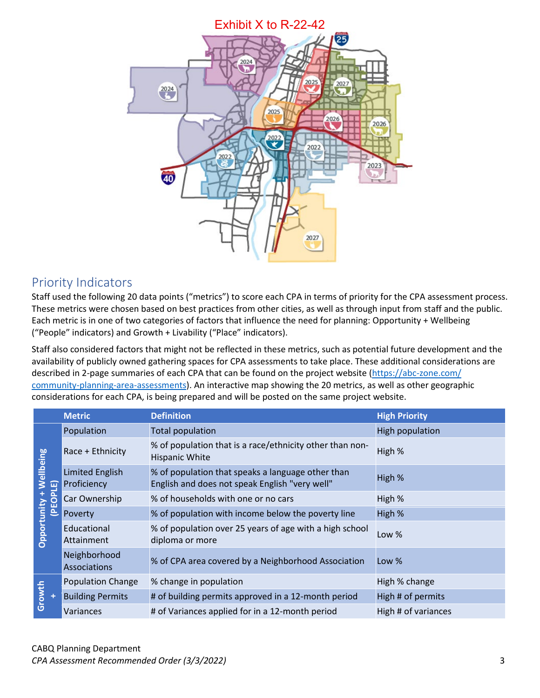

### Priority Indicators

Staff used the following 20 data points ("metrics") to score each CPA in terms of priority for the CPA assessment process. These metrics were chosen based on best practices from other cities, as well as through input from staff and the public. Each metric is in one of two categories of factors that influence the need for planning: Opportunity + Wellbeing ("People" indicators) and Growth + Livability ("Place" indicators).

Staff also considered factors that might not be reflected in these metrics, such as potential future development and the availability of publicly owned gathering spaces for CPA assessments to take place. These additional considerations are described in 2-page summaries of each CPA that can be found on the project website [\(https://abc-zone.com/](https://abc-zone.com/%20community-planning-area-assessments)  [community-planning-area-assessments\)](https://abc-zone.com/%20community-planning-area-assessments). An interactive map showing the 20 metrics, as well as other geographic considerations for each CPA, is being prepared and will be posted on the same project website.

|                                      | <b>Metric</b>                         | <b>Definition</b>                                                                                   | <b>High Priority</b> |
|--------------------------------------|---------------------------------------|-----------------------------------------------------------------------------------------------------|----------------------|
| Wellbeing<br>(PEOPLE)<br>Opportunity | Population                            | <b>Total population</b>                                                                             | High population      |
|                                      | Race + Ethnicity                      | % of population that is a race/ethnicity other than non-<br><b>Hispanic White</b>                   | High %               |
|                                      | <b>Limited English</b><br>Proficiency | % of population that speaks a language other than<br>English and does not speak English "very well" | High %               |
|                                      | Car Ownership                         | % of households with one or no cars                                                                 | High %               |
|                                      | Poverty                               | % of population with income below the poverty line                                                  | High %               |
|                                      | Educational<br>Attainment             | % of population over 25 years of age with a high school<br>diploma or more                          | Low $%$              |
|                                      | Neighborhood<br><b>Associations</b>   | % of CPA area covered by a Neighborhood Association                                                 | Low %                |
| Growth                               | <b>Population Change</b>              | % change in population                                                                              | High % change        |
|                                      | <b>Building Permits</b>               | # of building permits approved in a 12-month period                                                 | High # of permits    |
|                                      | Variances                             | # of Variances applied for in a 12-month period                                                     | High # of variances  |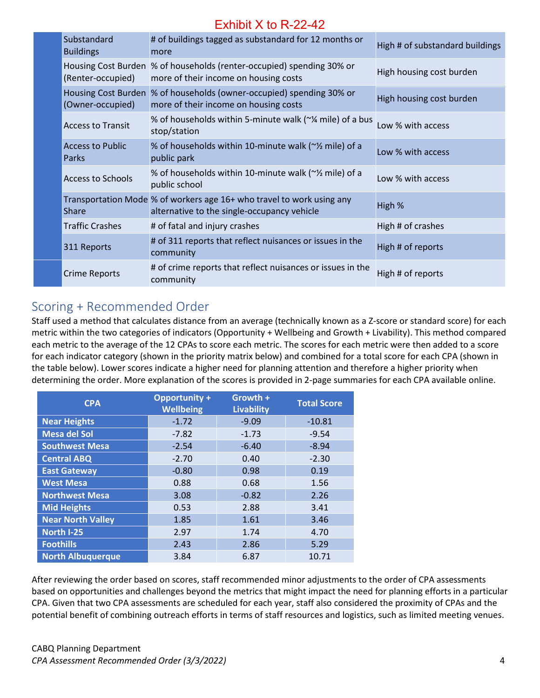| Substandard<br><b>Buildings</b>  | # of buildings tagged as substandard for 12 months or<br>more                                                        | High # of substandard buildings |
|----------------------------------|----------------------------------------------------------------------------------------------------------------------|---------------------------------|
| (Renter-occupied)                | Housing Cost Burden % of households (renter-occupied) spending 30% or<br>more of their income on housing costs       | High housing cost burden        |
| (Owner-occupied)                 | Housing Cost Burden % of households (owner-occupied) spending 30% or<br>more of their income on housing costs        | High housing cost burden        |
| <b>Access to Transit</b>         | % of households within 5-minute walk (~¼ mile) of a bus<br>stop/station                                              | Low % with access               |
| <b>Access to Public</b><br>Parks | % of households within 10-minute walk (~% mile) of a<br>public park                                                  | Low % with access               |
| <b>Access to Schools</b>         | % of households within 10-minute walk (~% mile) of a<br>public school                                                | Low % with access               |
| <b>Share</b>                     | Transportation Mode % of workers age 16+ who travel to work using any<br>alternative to the single-occupancy vehicle | High %                          |
| <b>Traffic Crashes</b>           | # of fatal and injury crashes                                                                                        | High # of crashes               |
| 311 Reports                      | # of 311 reports that reflect nuisances or issues in the<br>community                                                | High # of reports               |
| Crime Reports                    | # of crime reports that reflect nuisances or issues in the<br>community                                              | High # of reports               |

## Scoring + Recommended Order

Staff used a method that calculates distance from an average (technically known as a Z-score or standard score) for each metric within the two categories of indicators (Opportunity + Wellbeing and Growth + Livability). This method compared each metric to the average of the 12 CPAs to score each metric. The scores for each metric were then added to a score for each indicator category (shown in the priority matrix below) and combined for a total score for each CPA (shown in the table below). Lower scores indicate a higher need for planning attention and therefore a higher priority when determining the order. More explanation of the scores is provided in 2-page summaries for each CPA available online.

| <b>CPA</b>               | <b>Opportunity +</b><br><b>Wellbeing</b> | Growth +<br><b>Livability</b> | <b>Total Score</b> |
|--------------------------|------------------------------------------|-------------------------------|--------------------|
| <b>Near Heights</b>      | $-1.72$                                  | $-9.09$                       | $-10.81$           |
| <b>Mesa del Sol</b>      | $-7.82$                                  | $-1.73$                       | $-9.54$            |
| <b>Southwest Mesa</b>    | $-2.54$                                  | $-6.40$                       | $-8.94$            |
| <b>Central ABQ</b>       | $-2.70$                                  | 0.40                          | $-2.30$            |
| <b>East Gateway</b>      | $-0.80$                                  | 0.98                          | 0.19               |
| <b>West Mesa</b>         | 0.88                                     | 0.68                          | 1.56               |
| <b>Northwest Mesa</b>    | 3.08                                     | $-0.82$                       | 2.26               |
| <b>Mid Heights</b>       | 0.53                                     | 2.88                          | 3.41               |
| <b>Near North Valley</b> | 1.85                                     | 1.61                          | 3.46               |
| North I-25               | 2.97                                     | 1.74                          | 4.70               |
| <b>Foothills</b>         | 2.43                                     | 2.86                          | 5.29               |
| <b>North Albuquerque</b> | 3.84                                     | 6.87                          | 10.71              |

After reviewing the order based on scores, staff recommended minor adjustments to the order of CPA assessments based on opportunities and challenges beyond the metrics that might impact the need for planning efforts in a particular CPA. Given that two CPA assessments are scheduled for each year, staff also considered the proximity of CPAs and the potential benefit of combining outreach efforts in terms of staff resources and logistics, such as limited meeting venues.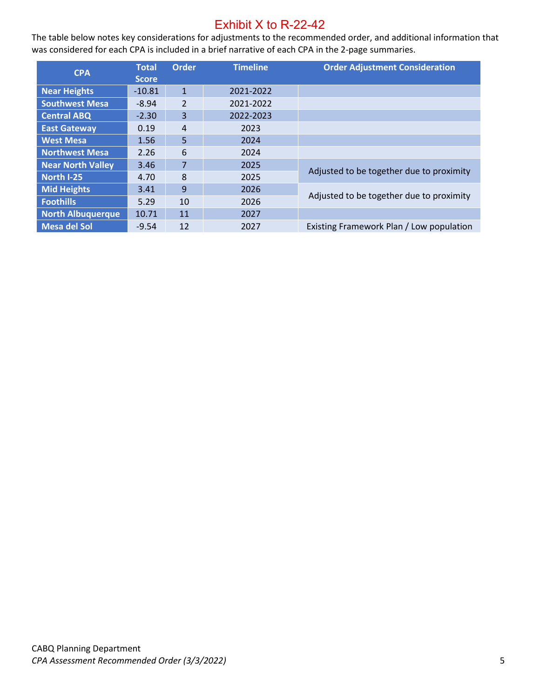The table below notes key considerations for adjustments to the recommended order, and additional information that was considered for each CPA is included in a brief narrative of each CPA in the 2-page summaries.

| <b>CPA</b>               | <b>Total</b> | <b>Order</b>   | <b>Timeline</b> | <b>Order Adjustment Consideration</b>    |  |
|--------------------------|--------------|----------------|-----------------|------------------------------------------|--|
|                          | <b>Score</b> |                |                 |                                          |  |
| <b>Near Heights</b>      | $-10.81$     | $\mathbf{1}$   | 2021-2022       |                                          |  |
| <b>Southwest Mesa</b>    | $-8.94$      | $\overline{2}$ | 2021-2022       |                                          |  |
| <b>Central ABQ</b>       | $-2.30$      | 3              | 2022-2023       |                                          |  |
| <b>East Gateway</b>      | 0.19         | $\overline{4}$ | 2023            |                                          |  |
| <b>West Mesa</b>         | 1.56         | 5              | 2024            |                                          |  |
| <b>Northwest Mesa</b>    | 2.26         | 6              | 2024            |                                          |  |
| <b>Near North Valley</b> | 3.46         | 7              | 2025            |                                          |  |
| North I-25               | 4.70         | 8              | 2025            | Adjusted to be together due to proximity |  |
| <b>Mid Heights</b>       | 3.41         | 9              | 2026            | Adjusted to be together due to proximity |  |
| <b>Foothills</b>         | 5.29         | 10             | 2026            |                                          |  |
| <b>North Albuquerque</b> | 10.71        | 11             | 2027            |                                          |  |
| <b>Mesa del Sol</b>      | $-9.54$      | 12             | 2027            | Existing Framework Plan / Low population |  |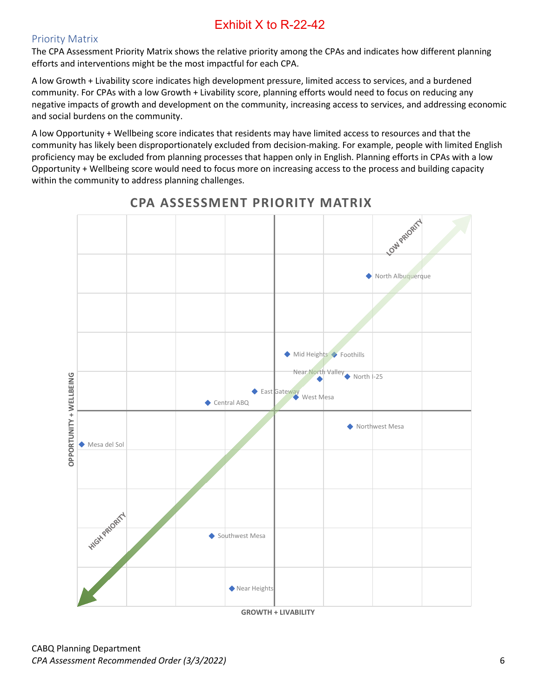### Priority Matrix

The CPA Assessment Priority Matrix shows the relative priority among the CPAs and indicates how different planning efforts and interventions might be the most impactful for each CPA.

A low Growth + Livability score indicates high development pressure, limited access to services, and a burdened community. For CPAs with a low Growth + Livability score, planning efforts would need to focus on reducing any negative impacts of growth and development on the community, increasing access to services, and addressing economic and social burdens on the community.

A low Opportunity + Wellbeing score indicates that residents may have limited access to resources and that the community has likely been disproportionately excluded from decision-making. For example, people with limited English proficiency may be excluded from planning processes that happen only in English. Planning efforts in CPAs with a low Opportunity + Wellbeing score would need to focus more on increasing access to the process and building capacity within the community to address planning challenges.



**CPA ASSESSMENT PRIORITY MATRIX**